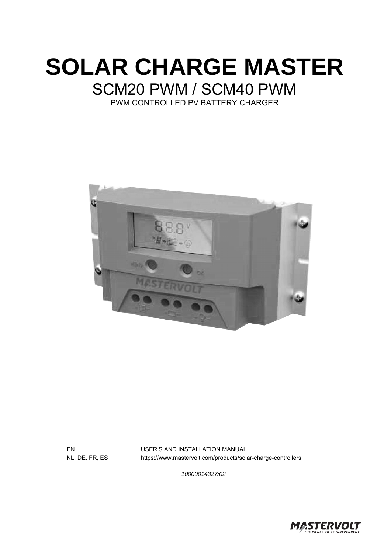



EN USER'S AND INSTALLATION MANUAL NL, DE, FR, ES https://www.mastervolt.com/products/solar-charge-controllers

*10000014327/02* 

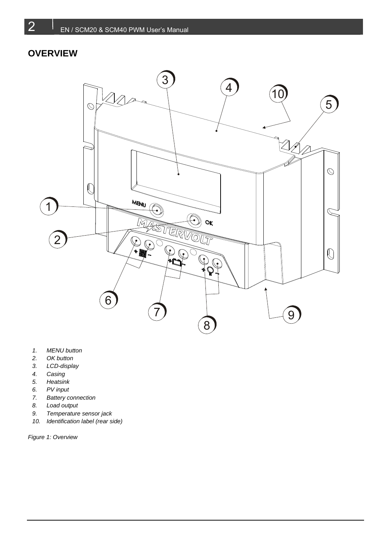## **OVERVIEW**



- *1. MENU button*
- *2. OK button*
- *3. LCD-display*
- *4. Casing*
- *5. Heatsink*
- *6. PV input*
- *7. Battery connection*
- *8. Load output*
- *9. Temperature sensor jack*
- *10. Identification label (rear side)*

*Figure 1: Overview*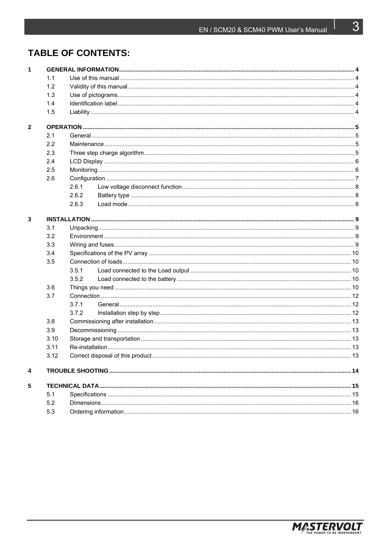## **TABLE OF CONTENTS:**

| $\mathbf{1}$   |      |       |  |  |
|----------------|------|-------|--|--|
|                | 1.1  |       |  |  |
|                | 1.2  |       |  |  |
|                | 1.3  |       |  |  |
|                | 1.4  |       |  |  |
|                | 1.5  |       |  |  |
| $\overline{2}$ |      |       |  |  |
|                | 2.1  |       |  |  |
|                | 2.2  |       |  |  |
|                | 2.3  |       |  |  |
|                | 2.4  |       |  |  |
|                | 2.5  |       |  |  |
|                | 2.6  |       |  |  |
|                |      | 2.6.1 |  |  |
|                |      | 2.6.2 |  |  |
|                |      | 2.6.3 |  |  |
| 3              |      |       |  |  |
|                | 3.1  |       |  |  |
|                | 3.2  |       |  |  |
|                | 3.3  |       |  |  |
|                | 3.4  |       |  |  |
|                | 3.5  |       |  |  |
|                |      | 3.5.1 |  |  |
|                |      | 3.5.2 |  |  |
|                | 3.6  |       |  |  |
|                | 3.7  |       |  |  |
|                |      | 3.7.1 |  |  |
|                |      | 3.7.2 |  |  |
|                | 3.8  |       |  |  |
|                | 3.9  |       |  |  |
|                | 3.10 |       |  |  |
|                | 3.11 |       |  |  |
|                | 3.12 |       |  |  |
| 4              |      |       |  |  |
| 5              |      |       |  |  |
|                | 5.1  |       |  |  |
|                | 5.2  |       |  |  |
|                | 5.3  |       |  |  |



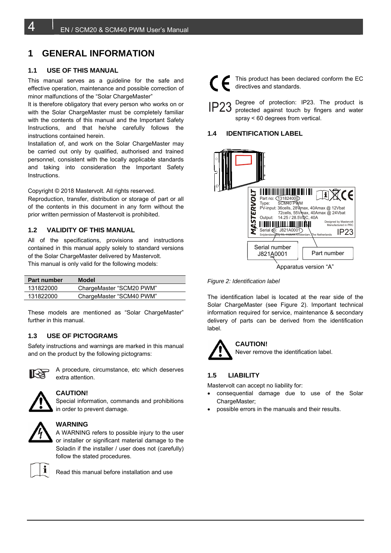## **1 GENERAL INFORMATION**

#### **1.1 USE OF THIS MANUAL**

This manual serves as a guideline for the safe and effective operation, maintenance and possible correction of minor malfunctions of the "Solar ChargeMaster"

It is therefore obligatory that every person who works on or with the Solar ChargeMaster must be completely familiar with the contents of this manual and the Important Safety Instructions, and that he/she carefully follows the instructions contained herein.

Installation of, and work on the Solar ChargeMaster may be carried out only by qualified, authorised and trained personnel, consistent with the locally applicable standards and taking into consideration the Important Safety Instructions.

Copyright © 2018 Mastervolt. All rights reserved.

Reproduction, transfer, distribution or storage of part or all of the contents in this document in any form without the prior written permission of Mastervolt is prohibited.

#### **1.2 VALIDITY OF THIS MANUAL**

All of the specifications, provisions and instructions contained in this manual apply solely to standard versions of the Solar ChargeMaster delivered by Mastervolt. This manual is only valid for the following models:

| <b>Part number</b> | Model                    |
|--------------------|--------------------------|
| 131822000          | ChargeMaster "SCM20 PWM" |
| 131822000          | ChargeMaster "SCM40 PWM" |

These models are mentioned as "Solar ChargeMaster" further in this manual.

#### **1.3 USE OF PICTOGRAMS**

Safety instructions and warnings are marked in this manual and on the product by the following pictograms:



A procedure, circumstance, etc which deserves extra attention.



#### **CAUTION!**

Special information, commands and prohibitions in order to prevent damage.



#### **WARNING**

A WARNING refers to possible injury to the user or installer or significant material damage to the Soladin if the installer / user does not (carefully) follow the stated procedures.



Read this manual before installation and use



This product has been declared conform the EC directives and standards.

Degree of protection: IP23. The product is protected against touch by fingers and water spray < 60 degrees from vertical. IP23

#### **1.4 IDENTIFICATION LABEL**



Apparatus version "A"

*Figure 2: Identification label*

The identification label is located at the rear side of the Solar ChargeMaster (see Figure 2). Important technical information required for service, maintenance & secondary delivery of parts can be derived from the identification label.

### **CAUTION!**

Never remove the identification label.

#### **1.5 LIABILITY**

Mastervolt can accept no liability for:

- consequential damage due to use of the Solar ChargeMaster:
- possible errors in the manuals and their results.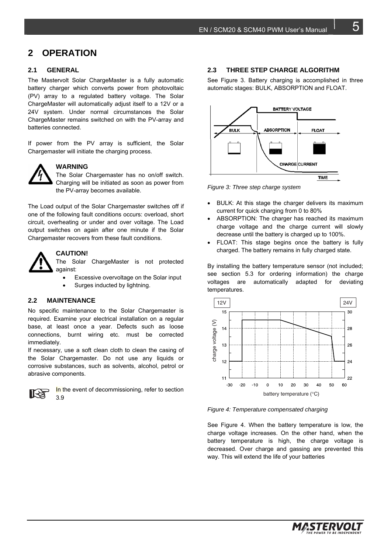#### **2 OPERATION**

#### **2.1 GENERAL**

The Mastervolt Solar ChargeMaster is a fully automatic battery charger which converts power from photovoltaic (PV) array to a regulated battery voltage. The Solar ChargeMaster will automatically adjust itself to a 12V or a 24V system. Under normal circumstances the Solar ChargeMaster remains switched on with the PV-array and batteries connected.

If power from the PV array is sufficient, the Solar Chargemaster will initiate the charging process.



#### **WARNING**

The Solar Chargemaster has no on/off switch. Charging will be initiated as soon as power from the PV-array becomes available.

The Load output of the Solar Chargemaster switches off if one of the following fault conditions occurs: overload, short circuit, overheating or under and over voltage. The Load output switches on again after one minute if the Solar Chargemaster recovers from these fault conditions.



#### **CAUTION!**

The Solar ChargeMaster is not protected against:

- Excessive overvoltage on the Solar input
- Surges inducted by lightning.

#### **2.2 MAINTENANCE**

No specific maintenance to the Solar Chargemaster is required. Examine your electrical installation on a regular base, at least once a year. Defects such as loose connections, burnt wiring etc. must be corrected immediately.

If necessary, use a soft clean cloth to clean the casing of the Solar Chargemaster. Do not use any liquids or corrosive substances, such as solvents, alcohol, petrol or abrasive components.



In the event of decommissioning, refer to section 3.9

#### **2.3 THREE STEP CHARGE ALGORITHM**

See Figure 3. Battery charging is accomplished in three automatic stages: BULK, ABSORPTION and FLOAT.



*Figure 3: Three step charge system*

- BULK: At this stage the charger delivers its maximum current for quick charging from 0 to 80%
- ABSORPTION: The charger has reached its maximum charge voltage and the charge current will slowly decrease until the battery is charged up to 100%.
- FLOAT: This stage begins once the battery is fully charged. The battery remains in fully charged state.

By installing the battery temperature sensor (not included; see section 5.3 for ordering information) the charge voltages are automatically adapted for deviating temperatures.



*Figure 4: Temperature compensated charging*

See Figure 4. When the battery temperature is low, the charge voltage increases. On the other hand, when the battery temperature is high, the charge voltage is decreased. Over charge and gassing are prevented this way. This will extend the life of your batteries

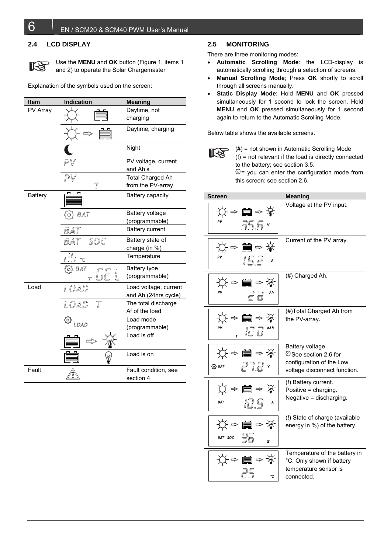#### **2.4 LCD DISPLAY**



Use the **MENU** and **OK** button (Figure 1, items 1 and 2) to operate the Solar Chargemaster

Explanation of the symbols used on the screen:

| Item           | Indication             | <b>Meaning</b>                               |
|----------------|------------------------|----------------------------------------------|
| PV Array       |                        | Daytime, not<br>charging                     |
|                |                        | Daytime, charging                            |
|                |                        | Night                                        |
|                |                        | PV voltage, current<br>and Ah's              |
|                |                        | <b>Total Charged Ah</b><br>from the PV-array |
| <b>Battery</b> |                        | Battery capacity                             |
|                | BAT                    | Battery voltage                              |
|                |                        | (programmable)                               |
|                | BAT                    | <b>Battery current</b>                       |
|                | SOC<br>Bat             | Battery state of                             |
|                |                        | charge (in %)                                |
|                |                        | Temperature                                  |
|                | O} BAT                 | Battery tyoe                                 |
|                |                        | (programmable)                               |
| Load           | LOAD                   | Load voltage, current                        |
|                |                        | and Ah (24hrs cycle)                         |
|                | $\overline{T}$<br>LOAD | The total discharge                          |
|                |                        | Af of the load                               |
|                | ళ<br>LOAD              | Load mode                                    |
|                |                        | (programmable)                               |
|                |                        | Load is off                                  |
|                |                        | Load is on                                   |
| Fault          |                        | Fault condition, see                         |
|                |                        | section 4                                    |

#### **2.5 MONITORING**

There are three monitoring modes:

- **Automatic Scrolling Mode**: the LCD-display is automatically scrolling through a selection of screens.
- **Manual Scrolling Mode**; Press **OK** shortly to scroll through all screens manually.
- **Static Display Mode**: Hold **MENU** and **OK** pressed simultaneously for 1 second to lock the screen. Hold **MENU** end **OK** pressed simultaneously for 1 second again to return to the Automatic Scrolling Mode.

Below table shows the available screens.

 $(4)$  = not shown in Automatic Scrolling Mode (!) = not relevant if the load is directly connected to the battery; see section 3.5. = you can enter the configuration mode from this screen; see section 2.6.

| <b>Screen</b>                                        | <b>Meaning</b>                                                                                       |
|------------------------------------------------------|------------------------------------------------------------------------------------------------------|
| ☆⇒■⇒☀<br>$\exists 5.8$                               | Voltage at the PV input.                                                                             |
| ☆⇒■⇒☀<br>16.2                                        | Current of the PV array.                                                                             |
| ☆⇒■⇒☀<br>$P$ $R$                                     | (#) Charged Ah.                                                                                      |
| ☆←■⇒☀<br>pv<br>$\mathbb{Z}^n$                        | (#)Total Charged Ah from<br>the PV-array.                                                            |
| ☆⇒■⇒☀<br>$P$ $7.8$ $\cdot$<br>@ BAT                  | Battery voltage<br>ම්See section 2.6 for<br>configuration of the Low<br>voltage disconnect function. |
| ☆⇒■⇒☀<br>10.9<br>BAT                                 | (!) Battery current.<br>Positive = charging.<br>Negative = discharging.                              |
| ☆⇒■⇒☀<br>- 96<br>BAT SOC<br>$\boldsymbol{\varkappa}$ | (!) State of charge (available<br>energy in %) of the battery.                                       |
| ☆~■~※<br>۹Ċ                                          | Temperature of the battery in<br>°C. Only shown if battery<br>temperature sensor is<br>connected.    |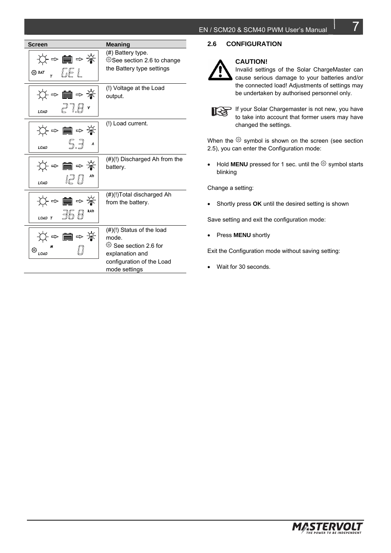| <b>Screen</b>                          | Meaning                                                                                                                                    |
|----------------------------------------|--------------------------------------------------------------------------------------------------------------------------------------------|
| ☆⇒■⇒☀<br>$\circledcirc$ BAT $_{7}$ LEL | (#) Battery type.<br>See section 2.6 to change<br>the Battery type settings                                                                |
| ☆⇒■⇒☀<br>$P$ $7.8$ $\cdot$             | (!) Voltage at the Load<br>output.                                                                                                         |
| ☆⇒■⇒☀<br>5.7<br>LOAD                   | (!) Load current.                                                                                                                          |
| ☆⇒■⇒☀<br>ia U<br>LOAD                  | $(\#)(!)$ Discharged Ah from the<br>battery.                                                                                               |
| ☆⇒■⇒☀<br>76 A                          | (#)(!)Total discharged Ah<br>from the battery.                                                                                             |
| . ⇒ ■ ⇒ ☀<br>© <sub>load</sub>         | $(\#)(!)$ Status of the load<br>mode.<br><sup>©</sup> See section 2.6 for<br>explanation and<br>configuration of the Load<br>mode settings |

#### **2.6 CONFIGURATION**

# **CAUTION!**

Invalid settings of the Solar ChargeMaster can cause serious damage to your batteries and/or the connected load! Adjustments of settings may be undertaken by authorised personnel only.



If your Solar Chargemaster is not new, you have to take into account that former users may have changed the settings.

When the  $\circled{S}$  symbol is shown on the screen (see section 2.5), you can enter the Configuration mode:

• Hold **MENU** pressed for 1 sec. until the  $\circledS$  symbol starts blinking

Change a setting:

Shortly press **OK** until the desired setting is shown

Save setting and exit the configuration mode:

Press **MENU** shortly

Exit the Configuration mode without saving setting:

Wait for 30 seconds.



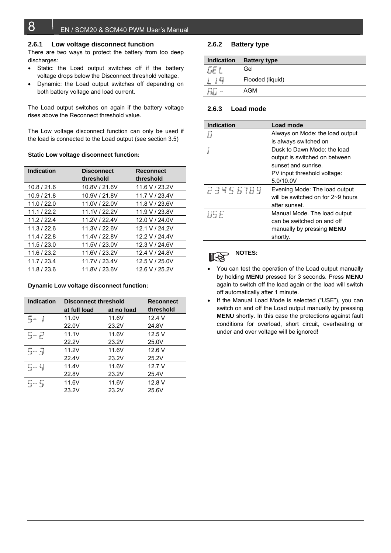#### **2.6.1 Low voltage disconnect function**

There are two ways to protect the battery from too deep discharges:

- Static: the Load output switches off if the battery voltage drops below the Disconnect threshold voltage.
- Dynamic: the Load output switches off depending on both battery voltage and load current.

The Load output switches on again if the battery voltage rises above the Reconnect threshold value.

The Low voltage disconnect function can only be used if the load is connected to the Load output (see section 3.5)

#### **Static Low voltage disconnect function:**

| <b>Indication</b> | <b>Disconnect</b><br>threshold | <b>Reconnect</b><br>threshold |
|-------------------|--------------------------------|-------------------------------|
| 10.8 / 21.6       | 10.8V / 21.6V                  | 11.6 V / 23.2V                |
| 10.9 / 21.8       | 10.9V / 21.8V                  | 11.7 V / 23.4V                |
| 11.0 / 22.0       | 11.0V / 22.0V                  | 11.8 V / 23.6V                |
| 11.1 / 22.2       | 11.1V / 22.2V                  | 11.9 V / 23.8V                |
| 11.2 / 22.4       | 11.2V / 22.4V                  | 12.0 V / 24.0V                |
| 11.3 / 22.6       | 11.3V / 22.6V                  | 12.1 V / 24.2V                |
| 11.4/22.8         | 11.4V / 22.8V                  | 12.2 V / 24.4V                |
| 11.5/23.0         | 11.5V / 23.0V                  | 12.3 V / 24.6V                |
| 11.6 / 23.2       | 11.6V / 23.2V                  | 12.4 V / 24.8V                |
| 11.7/23.4         | 11.7V / 23.4V                  | 12.5 V / 25.0V                |
| 11.8 / 23.6       | 11.8V / 23.6V                  | 12.6 V / 25.2V                |

**Dynamic Low voltage disconnect function:** 

| <b>Indication</b> | <b>Disconnect threshold</b> |            | <b>Reconnect</b> |
|-------------------|-----------------------------|------------|------------------|
|                   | at full load                | at no load | threshold        |
| $5-$<br>$\int$    | 11.0V                       | 11.6V      | 12.4V            |
|                   | 22.0V                       | 23.2V      | 24.8V            |
| $5 - 2$           | 11.1V                       | 11.6V      | 12.5V            |
|                   | 22.2V                       | 23.2V      | 25.0V            |
| $5 - 7$           | 11.2V                       | 11.6V      | 12.6 V           |
|                   | 22.4V                       | 23.2V      | 25.2V            |
| $5 - 4$           | 11.4V                       | 11.6V      | 12.7V            |
|                   | 22.8V                       | 23.2V      | 25.4V            |
| $5 - 5$           | 11.6V                       | 11.6V      | 12.8 V           |
|                   | 23.2V                       | 23.2V      | 25.6V            |

#### **2.6.2 Battery type**

| <b>Indication</b> | <b>Battery type</b> |
|-------------------|---------------------|
|                   | Gel                 |
|                   | Flooded (liquid)    |
|                   | AGM                 |

#### **2.6.3 Load mode**

| <b>Indication</b> | Load mode                               |
|-------------------|-----------------------------------------|
|                   | Always on Mode: the load output         |
|                   | is always switched on                   |
|                   | Dusk to Dawn Mode: the load             |
|                   | output is switched on between           |
|                   | sunset and sunrise.                     |
|                   | PV input threshold voltage:             |
|                   | 5.0/10.0V                               |
| 23456789          | Evening Mode: The load output           |
|                   | will be switched on for $2\neg 9$ hours |
|                   | after sunset.                           |
| 115 E             | Manual Mode. The load output            |
|                   | can be switched on and off              |
|                   | manually by pressing <b>MENU</b>        |
|                   | shortlv.                                |
|                   |                                         |

#### **NOTES:**  िटे

- You can test the operation of the Load output manually by holding **MENU** pressed for 3 seconds. Press **MENU** again to switch off the load again or the load will switch off automatically after 1 minute.
- If the Manual Load Mode is selected ("USE"), you can switch on and off the Load output manually by pressing **MENU** shortly. In this case the protections against fault conditions for overload, short circuit, overheating or under and over voltage will be ignored!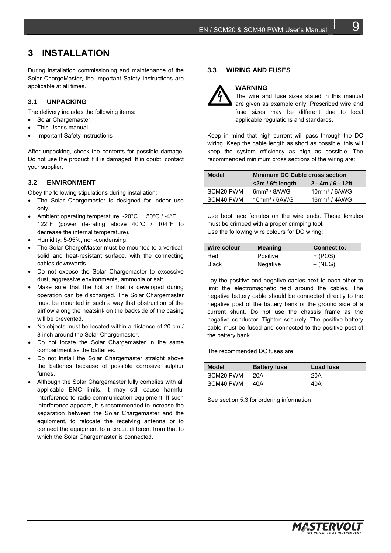## **3 INSTALLATION**

During installation commissioning and maintenance of the Solar ChargeMaster, the Important Safety Instructions are applicable at all times.

#### **3.1 UNPACKING**

The delivery includes the following items:

- Solar Chargemaster:
- This User's manual
- Important Safety Instructions

After unpacking, check the contents for possible damage. Do not use the product if it is damaged. If in doubt, contact your supplier.

#### **3.2 ENVIRONMENT**

Obey the following stipulations during installation:

- The Solar Chargemaster is designed for indoor use only.
- Ambient operating temperature: -20°C ... 50°C / -4°F … 122°F (power de-rating above 40°C / 104°F to decrease the internal temperature).
- Humidity: 5-95%, non-condensing.
- The Solar ChargeMaster must be mounted to a vertical, solid and heat-resistant surface, with the connecting cables downwards.
- Do not expose the Solar Chargemaster to excessive dust, aggressive environments, ammonia or salt.
- Make sure that the hot air that is developed during operation can be discharged. The Solar Chargemaster must be mounted in such a way that obstruction of the airflow along the heatsink on the backside of the casing will be prevented.
- No objects must be located within a distance of 20 cm / 8 inch around the Solar Chargemaster.
- Do not locate the Solar Chargemaster in the same compartment as the batteries.
- Do not install the Solar Chargemaster straight above the batteries because of possible corrosive sulphur fumes.
- Although the Solar Chargemaster fully complies with all applicable EMC limits, it may still cause harmful interference to radio communication equipment. If such interference appears, it is recommended to increase the separation between the Solar Chargemaster and the equipment, to relocate the receiving antenna or to connect the equipment to a circuit different from that to which the Solar Chargemaster is connected.

#### **3.3 WIRING AND FUSES**

**WARNING** 



#### The wire and fuse sizes stated in this manual are given as example only. Prescribed wire and fuse sizes may be different due to local applicable regulations and standards.

Keep in mind that high current will pass through the DC wiring. Keep the cable length as short as possible, this will keep the system efficiency as high as possible. The recommended minimum cross sections of the wiring are:

| <b>Model</b> | <b>Minimum DC Cable cross section</b> |                                |  |
|--------------|---------------------------------------|--------------------------------|--|
|              | $\epsilon$ 2m / 6ft length            | $2 - 4m/6 - 12ft$              |  |
| SCM20 PWM    | $6$ mm <sup>2</sup> / $8$ AWG         | $10$ mm <sup>2</sup> / $6$ AWG |  |
| SCM40 PWM    | $10$ mm <sup>2</sup> / $6$ AWG        | $16$ mm <sup>2</sup> / $4$ AWG |  |

Use boot lace ferrules on the wire ends. These ferrules must be crimped with a proper crimping tool. Use the following wire colours for DC wiring:

| Wire colour | <b>Meaning</b> | <b>Connect to:</b> |
|-------------|----------------|--------------------|
| Red         | Positive       | $+$ (POS)          |
| Black       | Negative       | $-(NEG)$           |

Lay the positive and negative cables next to each other to limit the electromagnetic field around the cables. The negative battery cable should be connected directly to the negative post of the battery bank or the ground side of a current shunt. Do not use the chassis frame as the negative conductor. Tighten securely. The positive battery cable must be fused and connected to the positive post of the battery bank.

The recommended DC fuses are:

| Model     | <b>Battery fuse</b> | Load fuse |
|-----------|---------------------|-----------|
| SCM20 PWM | 20A                 | 20A       |
| SCM40 PWM | 40A                 | 40A       |

See section 5.3 for ordering information

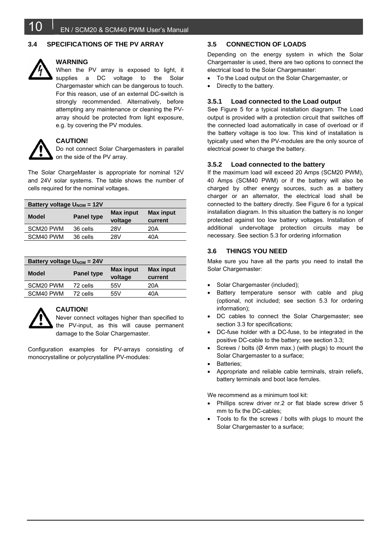#### **3.4 SPECIFICATIONS OF THE PV ARRAY**



## **WARNING**

When the PV array is exposed to light, it supplies a DC voltage to the Solar Chargemaster which can be dangerous to touch. For this reason, use of an external DC-switch is strongly recommended. Alternatively, before attempting any maintenance or cleaning the PVarray should be protected from light exposure, e.g. by covering the PV modules.



#### **CAUTION!**

Do not connect Solar Chargemasters in parallel on the side of the PV array.

The Solar ChargeMaster is appropriate for nominal 12V and 24V solar systems. The table shows the number of cells required for the nominal voltages.

| Battery voltage $U_{\text{NOM}} = 12V$ |                   |                  |                  |
|----------------------------------------|-------------------|------------------|------------------|
| <b>Model</b>                           | <b>Panel type</b> | <b>Max input</b> | <b>Max input</b> |
|                                        |                   | voltage          | current          |
| SCM20 PWM                              | 36 cells          | 28V              | 20A              |
| SCM40 PWM                              | 36 cells          | 28V              | 40A              |

| Battery voltage $U_{\text{NOM}} = 24V$ |                   |                  |                  |
|----------------------------------------|-------------------|------------------|------------------|
| <b>Model</b>                           | <b>Panel type</b> | <b>Max input</b> | <b>Max input</b> |
|                                        |                   | voltage          | current          |
| SCM20 PWM                              | 72 cells          | 55V              | 20A              |
| SCM40 PWM                              | 72 cells          | 55V              | 40A              |



#### **CAUTION!**

Never connect voltages higher than specified to the PV-input, as this will cause permanent damage to the Solar Chargemaster.

Configuration examples for PV-arrays consisting of monocrystalline or polycrystalline PV-modules:

#### **3.5 CONNECTION OF LOADS**

Depending on the energy system in which the Solar Chargemaster is used, there are two options to connect the electrical load to the Solar Chargemaster:

- To the Load output on the Solar Chargemaster, or
- Directly to the battery.

#### **3.5.1 Load connected to the Load output**

See Figure 5 for a typical installation diagram. The Load output is provided with a protection circuit that switches off the connected load automatically in case of overload or if the battery voltage is too low. This kind of installation is typically used when the PV-modules are the only source of electrical power to charge the battery.

#### **3.5.2 Load connected to the battery**

If the maximum load will exceed 20 Amps (SCM20 PWM), 40 Amps (SCM40 PWM) or if the battery will also be charged by other energy sources, such as a battery charger or an alternator, the electrical load shall be connected to the battery directly. See Figure 6 for a typical installation diagram. In this situation the battery is no longer protected against too low battery voltages. Installation of additional undervoltage protection circuits may be necessary. See section 5.3 for ordering information

#### **3.6 THINGS YOU NEED**

Make sure you have all the parts you need to install the Solar Chargemaster:

- Solar Chargemaster (included);
- Battery temperature sensor with cable and plug (optional, not included; see section 5.3 for ordering information);
- DC cables to connect the Solar Chargemaster; see section 3.3 for specifications;
- DC-fuse holder with a DC-fuse, to be integrated in the positive DC-cable to the battery; see section 3.3;
- Screws / bolts (Ø 4mm max.) (with plugs) to mount the Solar Chargemaster to a surface;
- Batteries;
- Appropriate and reliable cable terminals, strain reliefs, battery terminals and boot lace ferrules.

We recommend as a minimum tool kit:

- Phillips screw driver nr.2 or flat blade screw driver 5 mm to fix the DC-cables;
- Tools to fix the screws / bolts with plugs to mount the Solar Chargemaster to a surface;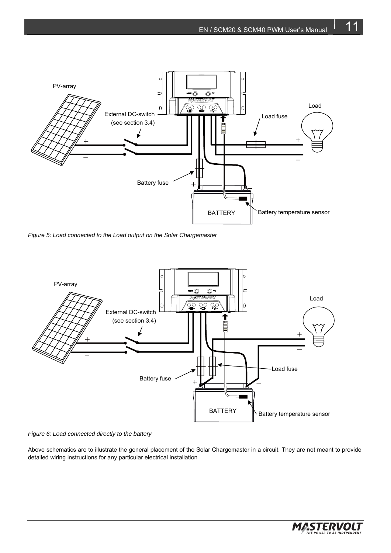

*Figure 5: Load connected to the Load output on the Solar Chargemaster* 



*Figure 6: Load connected directly to the battery* 

Above schematics are to illustrate the general placement of the Solar Chargemaster in a circuit. They are not meant to provide detailed wiring instructions for any particular electrical installation

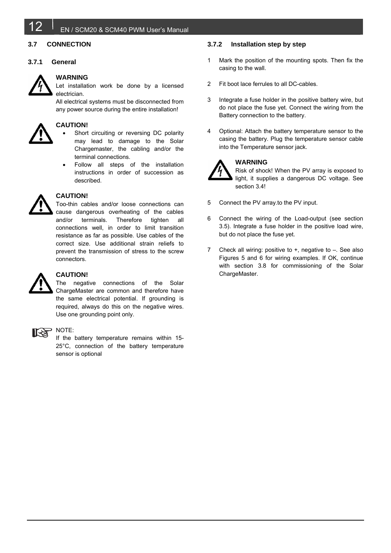

#### EN / SCM20 & SCM40 PWM User's Manual

#### **3.7 CONNECTION**

#### **3.7.1 General**



#### **WARNING**

Let installation work be done by a licensed electrician.

All electrical systems must be disconnected from any power source during the entire installation!



#### **CAUTION!**

- Short circuiting or reversing DC polarity may lead to damage to the Solar Chargemaster, the cabling and/or the terminal connections.
- Follow all steps of the installation instructions in order of succession as described.



#### **CAUTION!**

Too-thin cables and/or loose connections can cause dangerous overheating of the cables and/or terminals. Therefore tighten all connections well, in order to limit transition resistance as far as possible. Use cables of the correct size. Use additional strain reliefs to prevent the transmission of stress to the screw connectors.



#### **CAUTION!**

The negative connections of the Solar ChargeMaster are common and therefore have the same electrical potential. If grounding is required, always do this on the negative wires. Use one grounding point only.



#### NOTE:

If the battery temperature remains within 15- 25°C, connection of the battery temperature sensor is optional

#### **3.7.2 Installation step by step**

- 1 Mark the position of the mounting spots. Then fix the casing to the wall.
- 2 Fit boot lace ferrules to all DC-cables.
- 3 Integrate a fuse holder in the positive battery wire, but do not place the fuse yet. Connect the wiring from the Battery connection to the battery.
- 4 Optional: Attach the battery temperature sensor to the casing the battery. Plug the temperature sensor cable into the Temperature sensor jack.



## **WARNING**

Risk of shock! When the PV array is exposed to light, it supplies a dangerous DC voltage. See section 3.4!

- 5 Connect the PV array.to the PV input.
- 6 Connect the wiring of the Load-output (see section 3.5). Integrate a fuse holder in the positive load wire, but do not place the fuse yet.
- 7 Check all wiring: positive to +, negative to –. See also Figures 5 and 6 for wiring examples. If OK, continue with section 3.8 for commissioning of the Solar ChargeMaster.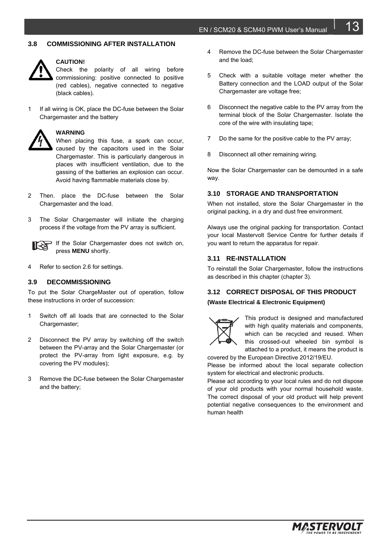#### **3.8 COMMISSIONING AFTER INSTALLATION**



#### **CAUTION!**

Check the polarity of all wiring before commissioning: positive connected to positive (red cables), negative connected to negative (black cables).

1 If all wiring is OK, place the DC-fuse between the Solar Chargemaster and the battery



#### **WARNING**

When placing this fuse, a spark can occur, caused by the capacitors used in the Solar Chargemaster. This is particularly dangerous in places with insufficient ventilation, due to the gassing of the batteries an explosion can occur. Avoid having flammable materials close by.

- 2 Then. place the DC-fuse between the Solar Chargemaster and the load.
- 3 The Solar Chargemaster will initiate the charging process if the voltage from the PV array is sufficient.

If the Solar Chargemaster does not switch on, press **MENU** shortly.

4 Refer to section 2.6 for settings.

#### **3.9 DECOMMISSIONING**

To put the Solar ChargeMaster out of operation, follow these instructions in order of succession:

- 1 Switch off all loads that are connected to the Solar Chargemaster;
- 2 Disconnect the PV array by switching off the switch between the PV-array and the Solar Chargemaster (or protect the PV-array from light exposure, e.g. by covering the PV modules);
- 3 Remove the DC-fuse between the Solar Chargemaster and the battery;
- 4 Remove the DC-fuse between the Solar Chargemaster and the load;
- 5 Check with a suitable voltage meter whether the Battery connection and the LOAD output of the Solar Chargemaster are voltage free;
- 6 Disconnect the negative cable to the PV array from the terminal block of the Solar Chargemaster. Isolate the core of the wire with insulating tape;
- 7 Do the same for the positive cable to the PV array;
- 8 Disconnect all other remaining wiring.

Now the Solar Chargemaster can be demounted in a safe way.

#### **3.10 STORAGE AND TRANSPORTATION**

When not installed, store the Solar Chargemaster in the original packing, in a dry and dust free environment.

Always use the original packing for transportation. Contact your local Mastervolt Service Centre for further details if you want to return the apparatus for repair.

#### **3.11 RE-INSTALLATION**

To reinstall the Solar Chargemaster, follow the instructions as described in this chapter (chapter 3).

#### **3.12 CORRECT DISPOSAL OF THIS PRODUCT (Waste Electrical & Electronic Equipment)**



This product is designed and manufactured with high quality materials and components, which can be recycled and reused. When this crossed-out wheeled bin symbol is attached to a product, it means the product is

covered by the European Directive 2012/19/EU. Please be informed about the local separate collection system for electrical and electronic products.

Please act according to your local rules and do not dispose of your old products with your normal household waste. The correct disposal of your old product will help prevent potential negative consequences to the environment and human health

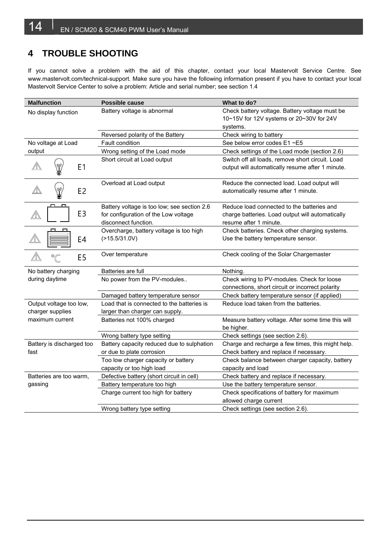## **4 TROUBLE SHOOTING**

If you cannot solve a problem with the aid of this chapter, contact your local Mastervolt Service Centre. See www.mastervolt.com/technical-support. Make sure you have the following information present if you have to contact your local Mastervolt Service Center to solve a problem: Article and serial number; see section 1.4

| <b>Malfunction</b>        | Possible cause                                                                                              | What to do?                                                                                                              |
|---------------------------|-------------------------------------------------------------------------------------------------------------|--------------------------------------------------------------------------------------------------------------------------|
| No display function       | Battery voltage is abnormal                                                                                 | Check battery voltage. Battery voltage must be<br>10~15V for 12V systems or 20~30V for 24V                               |
|                           |                                                                                                             | systems.                                                                                                                 |
| No voltage at Load        | Reversed polarity of the Battery<br>Fault condition                                                         | Check wiring to battery<br>See below error codes E1 ~E5                                                                  |
| output                    | Wrong setting of the Load mode                                                                              | Check settings of the Load mode (section 2.6)                                                                            |
|                           | Short circuit at Load output                                                                                | Switch off all loads, remove short circuit. Load                                                                         |
| E <sub>1</sub>            |                                                                                                             | output will automatically resume after 1 minute.                                                                         |
| E <sub>2</sub>            | Overload at Load output                                                                                     | Reduce the connected load. Load output will<br>automatically resume after 1 minute.                                      |
| E <sub>3</sub>            | Battery voltage is too low; see section 2.6<br>for configuration of the Low voltage<br>disconnect function. | Reduce load connected to the batteries and<br>charge batteries. Load output will automatically<br>resume after 1 minute. |
| E4                        | Overcharge, battery voltage is too high<br>$($ >15.5/31.0V)                                                 | Check batteries. Check other charging systems.<br>Use the battery temperature sensor.                                    |
| °C<br>E <sub>5</sub>      | Over temperature                                                                                            | Check cooling of the Solar Chargemaster                                                                                  |
| No battery charging       | Batteries are full                                                                                          | Nothing.                                                                                                                 |
| during daytime            | No power from the PV-modules                                                                                | Check wiring to PV-modules. Check for loose<br>connections, short circuit or incorrect polarity                          |
|                           | Damaged battery temperature sensor                                                                          | Check battery temperature sensor (if applied)                                                                            |
| Output voltage too low,   | Load that is connected to the batteries is                                                                  | Reduce load taken from the batteries.                                                                                    |
| charger supplies          | larger than charger can supply.                                                                             |                                                                                                                          |
| maximum current           | Batteries not 100% charged                                                                                  | Measure battery voltage. After some time this will<br>be higher.                                                         |
|                           | Wrong battery type setting                                                                                  | Check settings (see section 2.6).                                                                                        |
| Battery is discharged too | Battery capacity reduced due to sulphation                                                                  | Charge and recharge a few times, this might help.                                                                        |
| fast                      | or due to plate corrosion                                                                                   | Check battery and replace if necessary.                                                                                  |
|                           | Too low charger capacity or battery                                                                         | Check balance between charger capacity, battery                                                                          |
|                           | capacity or too high load                                                                                   | capacity and load                                                                                                        |
| Batteries are too warm,   | Defective battery (short circuit in cell)                                                                   | Check battery and replace if necessary.                                                                                  |
| gassing                   | Battery temperature too high                                                                                | Use the battery temperature sensor.                                                                                      |
|                           | Charge current too high for battery                                                                         | Check specifications of battery for maximum                                                                              |
|                           |                                                                                                             | allowed charge current                                                                                                   |
|                           | Wrong battery type setting                                                                                  | Check settings (see section 2.6).                                                                                        |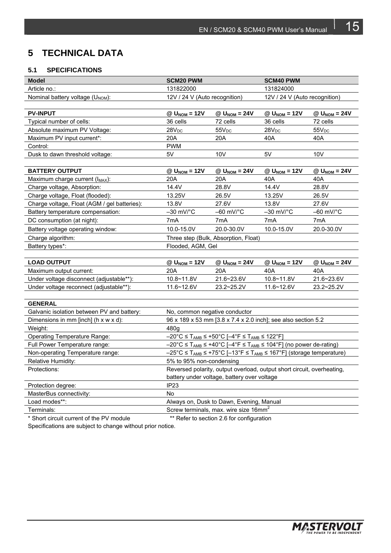## **5 TECHNICAL DATA**

#### **5.1 SPECIFICATIONS**

| <b>Model</b>                                 | <b>SCM20 PWM</b>                                                                                                                 |                                                               | <b>SCM40 PWM</b>              |                            |
|----------------------------------------------|----------------------------------------------------------------------------------------------------------------------------------|---------------------------------------------------------------|-------------------------------|----------------------------|
| Article no.:                                 | 131822000                                                                                                                        |                                                               | 131824000                     |                            |
| Nominal battery voltage (U <sub>NOM</sub> ): | 12V / 24 V (Auto recognition)                                                                                                    |                                                               | 12V / 24 V (Auto recognition) |                            |
|                                              |                                                                                                                                  |                                                               |                               |                            |
| <b>PV-INPUT</b>                              | $@$ U <sub>NOM</sub> = 12V                                                                                                       | $@$ $U_{\text{NOM}} = 24V$                                    | $@$ U <sub>NOM</sub> = 12V    | $@$ U <sub>NOM</sub> = 24V |
| Typical number of cells:                     | 36 cells                                                                                                                         | 72 cells                                                      | 36 cells                      | 72 cells                   |
| Absolute maximum PV Voltage:                 | $28V_{DC}$                                                                                                                       | $55V_{DC}$                                                    | 28V <sub>DC</sub>             | $55V_{DC}$                 |
| Maximum PV input current*:                   | 20A                                                                                                                              | 20A                                                           | 40A                           | 40A                        |
| Control:                                     | <b>PWM</b>                                                                                                                       |                                                               |                               |                            |
| Dusk to dawn threshold voltage:              | 5V                                                                                                                               | 10 <sub>V</sub>                                               | 5V                            | 10 <sub>V</sub>            |
|                                              |                                                                                                                                  |                                                               |                               |                            |
| <b>BATTERY OUTPUT</b>                        | $@$ $U_{\text{NOM}} = 12V$                                                                                                       | $@$ U <sub>NOM</sub> = 24V                                    | $@$ U <sub>NOM</sub> = 12V    | $@$ U <sub>NOM</sub> = 24V |
| Maximum charge current (I <sub>MAX</sub> ):  | 20A                                                                                                                              | 20A                                                           | 40A                           | 40A                        |
| Charge voltage, Absorption:                  | 14.4V                                                                                                                            | 28.8V                                                         | 14.4V                         | 28.8V                      |
| Charge voltage, Float (flooded):             | 13.25V                                                                                                                           | 26.5V                                                         | 13.25V                        | 26.5V                      |
| Charge voltage, Float (AGM / gel batteries): | 13.8V                                                                                                                            | 27.6V                                                         | 13.8V                         | 27.6V                      |
| Battery temperature compensation:            | $-30$ mV/ $^{\circ}$ C                                                                                                           | $-60$ mV/ $\degree$ C                                         | $-30$ mV/ $\degree$ C         | $-60$ mV/ $\degree$ C      |
| DC consumption (at night):                   | 7mA                                                                                                                              | 7mA                                                           | 7mA                           | 7mA                        |
| Battery voltage operating window:            | 10.0-15.0V                                                                                                                       | 20.0-30.0V                                                    | 10.0-15.0V                    | 20.0-30.0V                 |
| Charge algorithm:                            |                                                                                                                                  | Three step (Bulk, Absorption, Float)                          |                               |                            |
| Battery types*:                              | Flooded, AGM, Gel                                                                                                                |                                                               |                               |                            |
|                                              |                                                                                                                                  |                                                               |                               |                            |
| <b>LOAD OUTPUT</b>                           | $@$ U <sub>NOM</sub> = 12V                                                                                                       | $@$ U <sub>NOM</sub> = 24V                                    | $@$ U <sub>NOM</sub> = 12V    | $@$ $U_{\text{NOM}} = 24V$ |
| Maximum output current:                      | 20A                                                                                                                              | 20A                                                           | 40A                           | 40A                        |
| Under voltage disconnect (adjustable**):     | 10.8~11.8V                                                                                                                       | 21.6~23.6V                                                    | 10.8~11.8V                    | 21.6~23.6V                 |
| Under voltage reconnect (adjustable**):      | 11.6~12.6V                                                                                                                       | 23.2~25.2V                                                    | 11.6~12.6V                    | 23.2~25.2V                 |
|                                              |                                                                                                                                  |                                                               |                               |                            |
| <b>GENERAL</b>                               |                                                                                                                                  |                                                               |                               |                            |
| Galvanic isolation between PV and battery:   | No, common negative conductor                                                                                                    |                                                               |                               |                            |
| Dimensions in mm [inch] (h x w x d):         |                                                                                                                                  | 96 x 189 x 53 mm [3.8 x 7.4 x 2.0 inch]; see also section 5.2 |                               |                            |
| Weight:                                      | 480q                                                                                                                             |                                                               |                               |                            |
| <b>Operating Temperature Range:</b>          | $-20^{\circ}$ C $\leq$ T <sub>AMB</sub> $\leq$ +50°C [ $-4^{\circ}$ F $\leq$ T <sub>AMB</sub> $\leq$ 122°F]                      |                                                               |                               |                            |
| Full Power Temperature range:                | $-20^{\circ}$ C $\leq$ T <sub>AMB</sub> $\leq$ +40°C [ $-4^{\circ}$ F $\leq$ T <sub>AMB</sub> $\leq$ 104°F] (no power de-rating) |                                                               |                               |                            |
| Non-operating Temperature range:             | $-25^{\circ}$ C $\leq$ T <sub>AMB</sub> $\leq$ +75°C [-13°F $\leq$ T <sub>AMB</sub> $\leq$ 167°F] (storage temperature)          |                                                               |                               |                            |
| Relative Humidity:                           | 5% to 95% non-condensing                                                                                                         |                                                               |                               |                            |
| Protections:                                 | Reversed polarity, output overload, output short circuit, overheating,                                                           |                                                               |                               |                            |
|                                              |                                                                                                                                  | battery under voltage, battery over voltage                   |                               |                            |
| Protection degree:                           | IP <sub>23</sub>                                                                                                                 |                                                               |                               |                            |
| MasterBus connectivity:                      | No                                                                                                                               |                                                               |                               |                            |
| Load modes**:                                |                                                                                                                                  | Always on, Dusk to Dawn, Evening, Manual                      |                               |                            |
| Terminals:                                   |                                                                                                                                  | Screw terminals, max. wire size 16mm <sup>2</sup>             |                               |                            |
| * Short circuit current of the PV module     |                                                                                                                                  | ** Refer to section 2.6 for configuration                     |                               |                            |

Specifications are subject to change without prior notice.